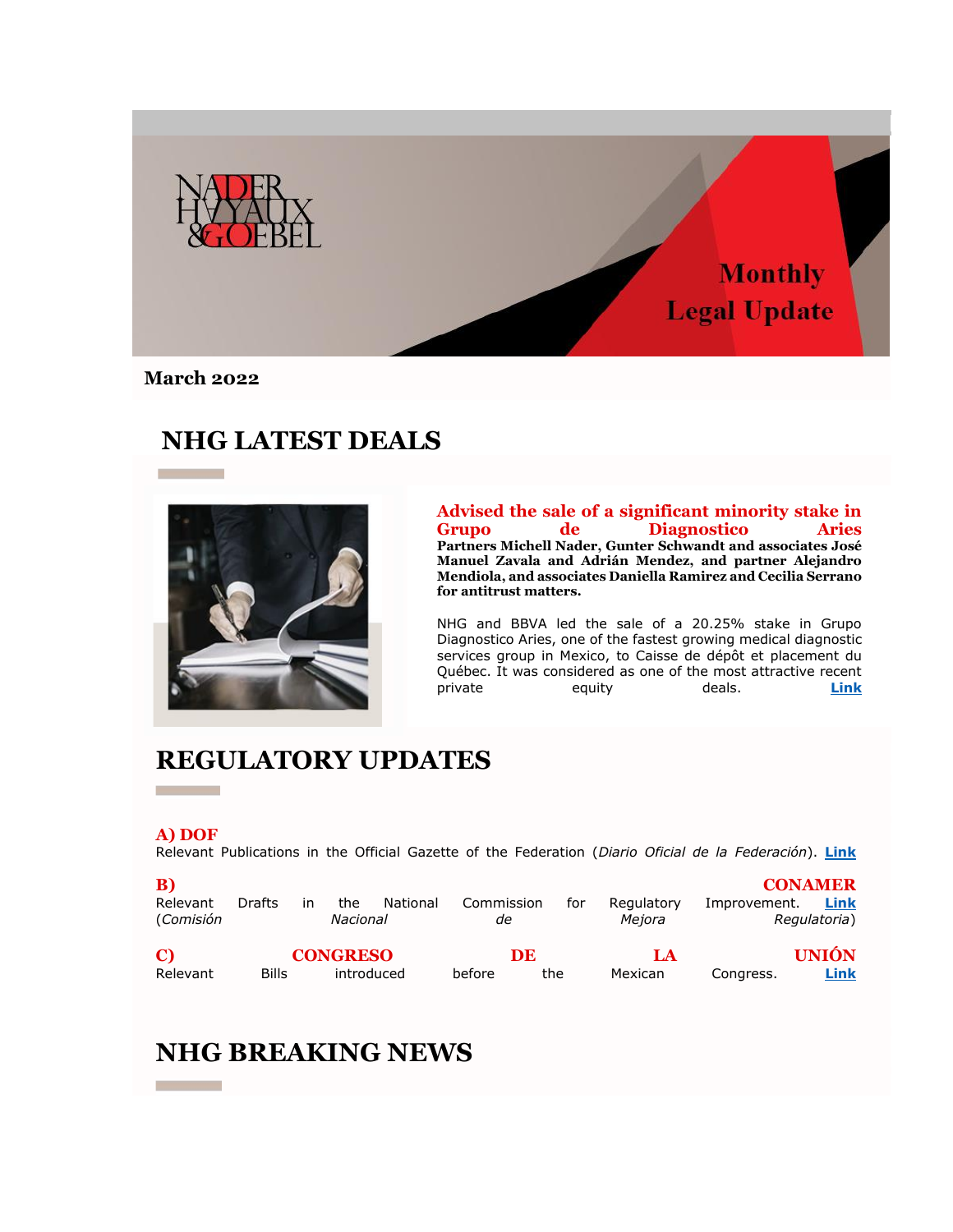

### **March 2022**

# **NHG LATEST DEALS**



**Advised the sale of a significant minority stake in Grupo de Diagnostico Aries Partners Michell Nader, Gunter Schwandt and associates José Manuel Zavala and Adrián Mendez, and partner Alejandro Mendiola, and associates Daniella Ramirez and Cecilia Serrano for antitrust matters.** 

NHG and BBVA led the sale of a 20.25% stake in Grupo Diagnostico Aries, one of the fastest growing medical diagnostic services group in Mexico, to Caisse de dépôt et placement du Québec. It was considered as one of the most attractive recent private equity deals. **[Link](https://nhg335.lt.acemlnb.com/Prod/link-tracker?notrack=1&redirectUrl=aHR0cHMlM0ElMkYlMkZ3d3cubmhnLm14JTJGZW5fZ2IlMkZjYXNlJTJGbmFkZXItaGF5YXV4LWdvZWJlbC1sZWFkLXNhbGUtb2YtYS1taW5vcml0eS1zdGFrZS1pbi1ncnVwby1kZS1kaWFnbm9zdGljby1hcmllcy10by1jYWlzc2UtZGUtZGVwb3QtZXQtcGxhY2VtZW50LWR1LXF1ZWJlYy1jZHBxJTJG&sig=DJf4ipANYsuwb9onTXzybTvcYkxaATwcrhHAQSEXaa7F&iat=1654802714&a=%7C%7C25487300%7C%7C&account=nhg335%2Eactivehosted%2Ecom&email=sf%2FV9l4ieKNMOZdeVagRzQ%3D%3D&s=ccd1870a579f2011876aca44733daec7&i=166A239A6A1691)**

### **REGULATORY UPDATES**

#### **A) DOF**

 $\sim$ 

Relevant Publications in the Official Gazette of the Federation (*Diario Oficial de la Federación*). **[Link](https://nhg335.lt.acemlnb.com/Prod/link-tracker?notrack=1&redirectUrl=aHR0cHMlM0ElMkYlMkZ3d3cubmhnLm14JTJGd3AtY29udGVudCUyRnVwbG9hZHMlMkYyMDIyJTJGMDMlMkZOSEctOTIyMzQtdjMtQWN0dWFsaXphY2lvbl9Ob3JtYXRpdmFfLV9GZWJyZXJvXzIwMjJfQS5wZGY=&sig=8WfW1vG3CnZHDd1mtHHtv9MbWPRDR6yFReazFsFTMcfp&iat=1654802714&a=%7C%7C25487300%7C%7C&account=nhg335%2Eactivehosted%2Ecom&email=sf%2FV9l4ieKNMOZdeVagRzQ%3D%3D&s=ccd1870a579f2011876aca44733daec7&i=166A239A6A1711)**

| B)<br>Relevant<br>(Comisión | Drafts                                 | in | the<br>Nacional | National | Commission<br>de    |  | for | Regulatory<br>Mejora | Improvement.         | <b>CONAMER</b><br>Link<br>Regulatoria) |
|-----------------------------|----------------------------------------|----|-----------------|----------|---------------------|--|-----|----------------------|----------------------|----------------------------------------|
| $\mathbf{C}$<br>Relevant    | <b>CONGRESO</b><br>Bills<br>introduced |    |                 |          | DE<br>before<br>the |  |     | LA<br>Mexican        | <b>UNIÓN</b><br>Link |                                        |

# **NHG BREAKING NEWS**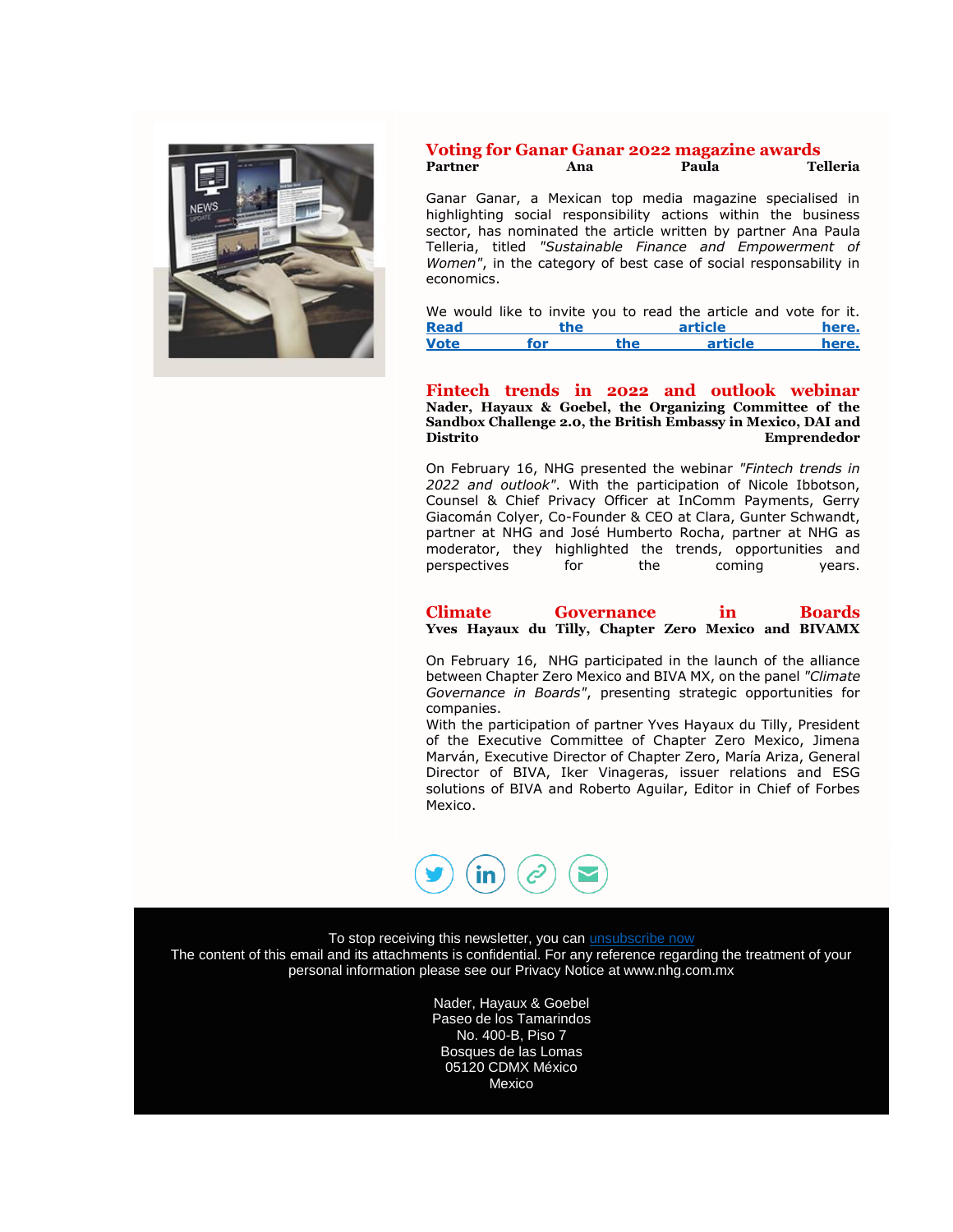

**Voting for Ganar Ganar 2022 magazine awards Partner Ana Paula Telleria**

Ganar Ganar, a Mexican top media magazine specialised in highlighting social responsibility actions within the business sector, has nominated the article written by partner Ana Paula Telleria, titled *"Sustainable Finance and Empowerment of Women"*, in the category of best case of social responsability in economics.

|             |  |     |     |     |         | We would like to invite you to read the article and vote for it. |  |       |  |
|-------------|--|-----|-----|-----|---------|------------------------------------------------------------------|--|-------|--|
| <b>Read</b> |  |     | the |     | article |                                                                  |  | here. |  |
| <b>Vote</b> |  | for |     | the |         | article                                                          |  | here. |  |

#### **Fintech trends in 2022 and outlook webinar Nader, Hayaux & Goebel, the Organizing Committee of the Sandbox Challenge 2.0, the British Embassy in Mexico, DAI and Emprendedor**

On February 16, NHG presented the webinar *"Fintech trends in 2022 and outlook"*. With the participation of Nicole Ibbotson, Counsel & Chief Privacy Officer at InComm Payments, Gerry Giacomán Colyer, Co-Founder & CEO at Clara, Gunter Schwandt, partner at NHG and José Humberto Rocha, partner at NHG as moderator, they highlighted the trends, opportunities and perspectives for the coming years.

#### **Climate Governance in Boards Yves Hayaux du Tilly, Chapter Zero Mexico and BIVAMX**

On February 16, NHG participated in the launch of the alliance between Chapter Zero Mexico and BIVA MX, on the panel *"Climate Governance in Boards"*, presenting strategic opportunities for companies.

With the participation of partner Yves Hayaux du Tilly, President of the Executive Committee of Chapter Zero Mexico, Jimena Marván, Executive Director of Chapter Zero, María Ariza, General Director of BIVA, Iker Vinageras, issuer relations and ESG solutions of BIVA and Roberto Aguilar, Editor in Chief of Forbes Mexico.



To stop receiving this newsletter, you can *unsubscribe now* The content of this email and its attachments is confidential. For any reference regarding the treatment of your personal information please see our Privacy Notice at www.nhg.com.mx

> Nader, Hayaux & Goebel Paseo de los Tamarindos No. 400-B, Piso 7 Bosques de las Lomas 05120 CDMX México Mexico